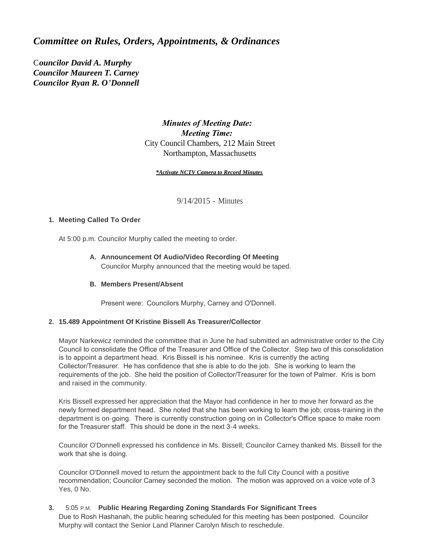# *Committee on Rules, Orders, Appointments, & Ordinances*

C*ouncilor David A. Murphy Councilor Maureen T. Carney Councilor Ryan R. O'Donnell*

## *Minutes of Meeting Date: Meeting Time:*  City Council Chambers, 212 Main Street Northampton, Massachusetts

#### *\*Activate NCTV Camera to Record Minutes*

9/14/2015 - Minutes

### **Meeting Called To Order 1.**

At 5:00 p.m. Councilor Murphy called the meeting to order.

## **Announcement Of Audio/Video Recording Of Meeting A.** Councilor Murphy announced that the meeting would be taped.

## **Members Present/Absent B.**

Present were: Councilors Murphy, Carney and O'Donnell.

### **15.489 Appointment Of Kristine Bissell As Treasurer/Collector 2.**

Mayor Narkewicz reminded the committee that in June he had submitted an administrative order to the City Council to consolidate the Office of the Treasurer and Office of the Collector. Step two of this consolidation is to appoint a department head. Kris Bissell is his nominee. Kris is currently the acting Collector/Treasurer. He has confidence that she is able to do the job. She is working to learn the requirements of the job. She held the position of Collector/Treasurer for the town of Palmer. Kris is born and raised in the community.

Kris Bissell expressed her appreciation that the Mayor had confidence in her to move her forward as the newly formed department head. She noted that she has been working to learn the job; cross-training in the department is on-going. There is currently construction going on in Collector's Office space to make room for the Treasurer staff. This should be done in the next 3-4 weeks.

Councilor O'Donnell expressed his confidence in Ms. Bissell; Councilor Carney thanked Ms. Bissell for the work that she is doing.

Councilor O'Donnell moved to return the appointment back to the full City Council with a positive recommendation; Councilor Carney seconded the motion. The motion was approved on a voice vote of 3 Yes, 0 No.

## **Public Hearing Regarding Zoning Standards For Significant Trees 3.** 5:05 P.M.

Due to Rosh Hashanah, the public hearing scheduled for this meeting has been postponed. Councilor Murphy will contact the Senior Land Planner Carolyn Misch to reschedule.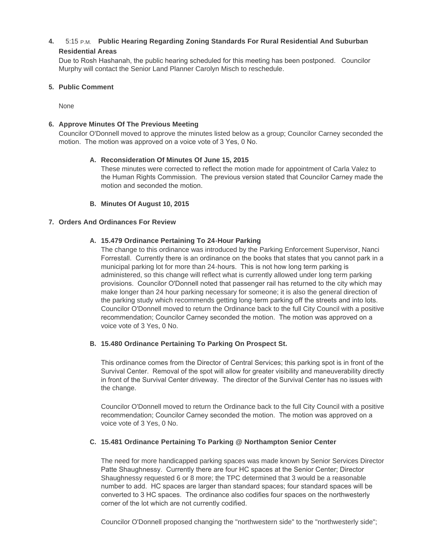## **Public Hearing Regarding Zoning Standards For Rural Residential And Suburban 4.** 5:15 P.M. **Residential Areas**

Due to Rosh Hashanah, the public hearing scheduled for this meeting has been postponed. Councilor Murphy will contact the Senior Land Planner Carolyn Misch to reschedule.

## **Public Comment 5.**

None

## **Approve Minutes Of The Previous Meeting 6.**

Councilor O'Donnell moved to approve the minutes listed below as a group; Councilor Carney seconded the motion. The motion was approved on a voice vote of 3 Yes, 0 No.

### **Reconsideration Of Minutes Of June 15, 2015 A.**

These minutes were corrected to reflect the motion made for appointment of Carla Valez to the Human Rights Commission. The previous version stated that Councilor Carney made the motion and seconded the motion.

## **Minutes Of August 10, 2015 B.**

## **Orders And Ordinances For Review 7.**

## **15.479 Ordinance Pertaining To 24-Hour Parking A.**

The change to this ordinance was introduced by the Parking Enforcement Supervisor, Nanci Forrestall. Currently there is an ordinance on the books that states that you cannot park in a municipal parking lot for more than 24-hours. This is not how long term parking is administered, so this change will reflect what is currently allowed under long term parking provisions. Councilor O'Donnell noted that passenger rail has returned to the city which may make longer than 24 hour parking necessary for someone; it is also the general direction of the parking study which recommends getting long-term parking off the streets and into lots. Councilor O'Donnell moved to return the Ordinance back to the full City Council with a positive recommendation; Councilor Carney seconded the motion. The motion was approved on a voice vote of 3 Yes, 0 No.

### **15.480 Ordinance Pertaining To Parking On Prospect St. B.**

This ordinance comes from the Director of Central Services; this parking spot is in front of the Survival Center. Removal of the spot will allow for greater visibility and maneuverability directly in front of the Survival Center driveway. The director of the Survival Center has no issues with the change.

Councilor O'Donnell moved to return the Ordinance back to the full City Council with a positive recommendation; Councilor Carney seconded the motion. The motion was approved on a voice vote of 3 Yes, 0 No.

## **15.481 Ordinance Pertaining To Parking @ Northampton Senior Center C.**

The need for more handicapped parking spaces was made known by Senior Services Director Patte Shaughnessy. Currently there are four HC spaces at the Senior Center; Director Shaughnessy requested 6 or 8 more; the TPC determined that 3 would be a reasonable number to add. HC spaces are larger than standard spaces; four standard spaces will be converted to 3 HC spaces. The ordinance also codifies four spaces on the northwesterly corner of the lot which are not currently codified.

Councilor O'Donnell proposed changing the "northwestern side" to the "northwesterly side";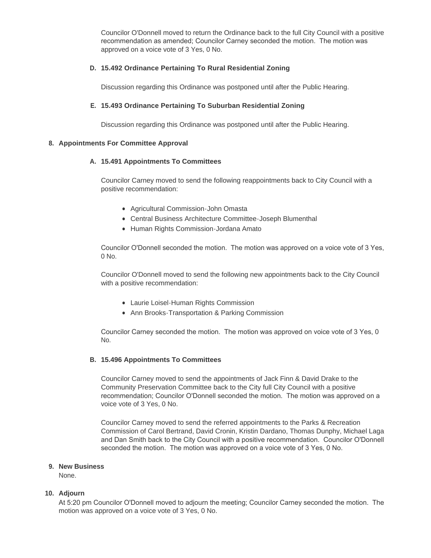Councilor O'Donnell moved to return the Ordinance back to the full City Council with a positive recommendation as amended; Councilor Carney seconded the motion. The motion was approved on a voice vote of 3 Yes, 0 No.

## **15.492 Ordinance Pertaining To Rural Residential Zoning D.**

Discussion regarding this Ordinance was postponed until after the Public Hearing.

## **15.493 Ordinance Pertaining To Suburban Residential Zoning E.**

Discussion regarding this Ordinance was postponed until after the Public Hearing.

#### **Appointments For Committee Approval 8.**

### **15.491 Appointments To Committees A.**

Councilor Carney moved to send the following reappointments back to City Council with a positive recommendation:

- Agricultural Commission-John Omasta
- Central Business Architecture Committee-Joseph Blumenthal
- Human Rights Commission-Jordana Amato

Councilor O'Donnell seconded the motion. The motion was approved on a voice vote of 3 Yes, 0 No.

Councilor O'Donnell moved to send the following new appointments back to the City Council with a positive recommendation:

- Laurie Loisel-Human Rights Commission
- Ann Brooks-Transportation & Parking Commission

Councilor Carney seconded the motion. The motion was approved on voice vote of 3 Yes, 0 No.

#### **15.496 Appointments To Committees B.**

Councilor Carney moved to send the appointments of Jack Finn & David Drake to the Community Preservation Committee back to the City full City Council with a positive recommendation; Councilor O'Donnell seconded the motion. The motion was approved on a voice vote of 3 Yes, 0 No.

Councilor Carney moved to send the referred appointments to the Parks & Recreation Commission of Carol Bertrand, David Cronin, Kristin Dardano, Thomas Dunphy, Michael Laga and Dan Smith back to the City Council with a positive recommendation. Councilor O'Donnell seconded the motion. The motion was approved on a voice vote of 3 Yes, 0 No.

#### **New Business 9.**

None.

### **Adjourn 10.**

At 5:20 pm Councilor O'Donnell moved to adjourn the meeting; Councilor Carney seconded the motion. The motion was approved on a voice vote of 3 Yes, 0 No.